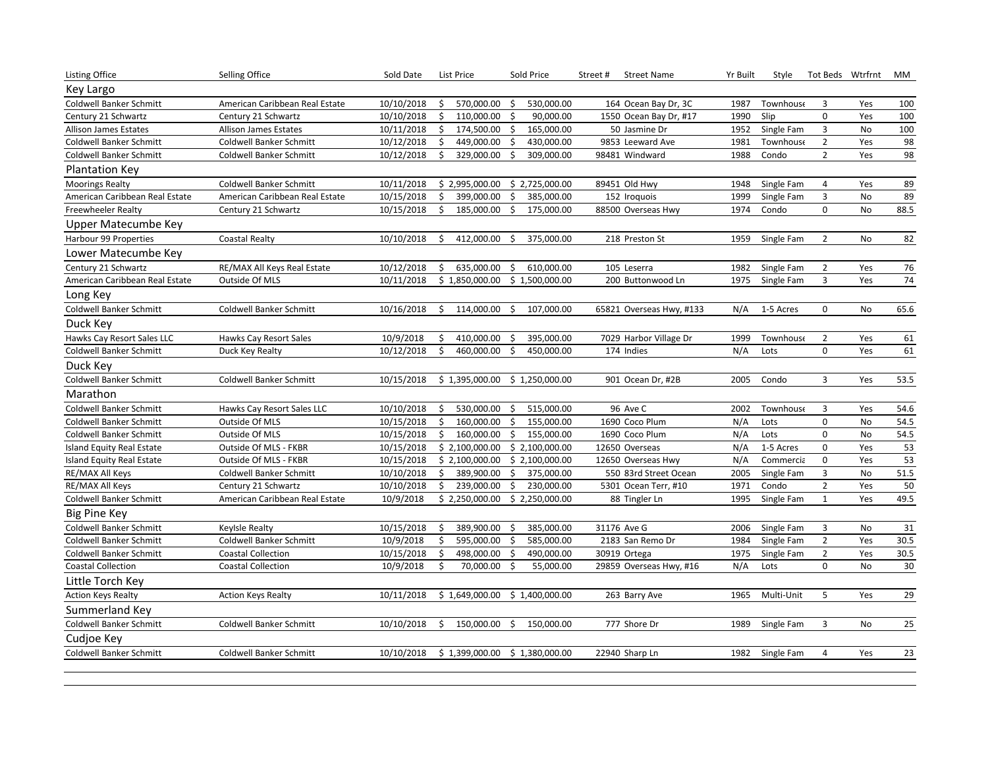| Key Largo<br><b>Coldwell Banker Schmitt</b><br>10/10/2018<br>\$<br>530,000.00<br>100<br>American Caribbean Real Estate<br>Ś.<br>570,000.00<br>164 Ocean Bay Dr, 3C<br>1987<br><b>Townhouse</b><br>3<br>Yes<br>$\mathbf 0$<br>10/10/2018<br>\$<br>110,000.00<br>\$<br>90,000.00<br>1990<br>Slip<br>Yes<br>100<br>Century 21 Schwartz<br>Century 21 Schwartz<br>1550 Ocean Bay Dr, #17<br>10/11/2018<br>\$<br>174,500.00<br>\$<br>165,000.00<br>1952<br>Single Fam<br>$\mathbf{3}$<br>No<br>100<br>Allison James Estates<br>50 Jasmine Dr<br>Allison James Estates<br>98<br>$\overline{2}$<br><b>Coldwell Banker Schmitt</b><br>10/12/2018<br>Ś.<br>449,000.00<br>\$<br>430,000.00<br>9853 Leeward Ave<br>1981<br>Townhouse<br>Yes<br>Coldwell Banker Schmitt<br>98<br>309,000.00<br>$\overline{2}$<br>Yes<br><b>Coldwell Banker Schmitt</b><br><b>Coldwell Banker Schmitt</b><br>10/12/2018<br>Ś.<br>329,000.00<br>Ŝ.<br>98481 Windward<br>1988<br>Condo<br>Plantation Key<br>89<br>10/11/2018<br>\$2,725,000.00<br>89451 Old Hwy<br><b>Moorings Realty</b><br>Coldwell Banker Schmitt<br>\$2,995,000.00<br>1948<br>Single Fam<br>4<br>Yes<br>$\overline{3}$<br>89<br>10/15/2018<br>399,000.00<br>\$<br>152 Iroquois<br>Single Fam<br>No<br>American Caribbean Real Estate<br>American Caribbean Real Estate<br>Ś.<br>385,000.00<br>1999<br>88.5<br>\$<br>\$<br>1974<br>0<br>No<br>Century 21 Schwartz<br>10/15/2018<br>185,000.00<br>175,000.00<br>88500 Overseas Hwy<br>Condo<br><b>Freewheeler Realty</b><br>Upper Matecumbe Key<br>Harbour 99 Properties<br>10/10/2018<br>1959<br>$\overline{2}$<br>No<br>82<br><b>Coastal Realty</b><br>412,000.00<br>\$<br>375,000.00<br>218 Preston St<br>Single Fam<br>Ś<br>Lower Matecumbe Key<br>76<br>Century 21 Schwartz<br>RE/MAX All Keys Real Estate<br>10/12/2018<br>635,000.00<br>\$<br>610,000.00<br>105 Leserra<br>1982<br>Single Fam<br>$\overline{2}$<br>Yes<br>\$<br>\$1,500,000.00<br>$\overline{3}$<br>74<br>Outside Of MLS<br>10/11/2018<br>\$1,850,000.00<br>200 Buttonwood Ln<br>1975<br>Single Fam<br>Yes<br>American Caribbean Real Estate<br>Long Key<br>65.6<br><b>Coldwell Banker Schmitt</b><br>Coldwell Banker Schmitt<br>10/16/2018<br>Ś.<br>114,000.00<br>\$<br>107,000.00<br>N/A<br>1-5 Acres<br>$\mathbf 0$<br><b>No</b><br>65821 Overseas Hwy, #133<br>Duck Key<br>Hawks Cay Resort Sales LLC<br>10/9/2018<br>410,000.00<br>395,000.00<br>7029 Harbor Village Dr<br>1999<br>$\overline{2}$<br>61<br>Hawks Cay Resort Sales<br>\$<br>\$<br>Townhouse<br>Yes<br>$\Omega$<br>61<br><b>Coldwell Banker Schmitt</b><br>Duck Key Realty<br>10/12/2018<br>Ś<br>460,000.00<br>Ś.<br>450,000.00<br>174 Indies<br>N/A<br>Yes<br>Lots<br>Duck Key<br><b>Coldwell Banker Schmitt</b><br>10/15/2018<br>2005<br>Condo<br>3<br>Yes<br>53.5<br>Coldwell Banker Schmitt<br>\$1,395,000.00<br>\$1,250,000.00<br>901 Ocean Dr, #2B<br>Marathon<br>515,000.00<br>96 Ave C<br><b>Coldwell Banker Schmitt</b><br>10/10/2018<br>530,000.00<br>\$<br>2002<br>3<br>54.6<br>Hawks Cay Resort Sales LLC<br>\$<br><b>Townhouse</b><br>Yes<br>10/15/2018<br>\$<br>\$<br>155,000.00<br>N/A<br>0<br>No<br>54.5<br>Coldwell Banker Schmitt<br>Outside Of MLS<br>160,000.00<br>1690 Coco Plum<br>Lots<br>54.5<br>N/A<br>$\mathbf 0$<br>Outside Of MLS<br>10/15/2018<br>\$<br>160,000.00<br>\$<br>155,000.00<br>1690 Coco Plum<br>Lots<br>No<br>Coldwell Banker Schmitt<br>53<br>0<br>Island Equity Real Estate<br>Outside Of MLS - FKBR<br>10/15/2018<br>\$2,100,000.00<br>\$2,100,000.00<br>12650 Overseas<br>N/A<br>1-5 Acres<br>Yes<br>53<br>10/15/2018<br>\$2,100,000.00<br>\$2,100,000.00<br>12650 Overseas Hwy<br>N/A<br>Commercia<br>$\mathbf 0$<br>Yes<br><b>Island Equity Real Estate</b><br>Outside Of MLS - FKBR<br>51.5<br>3<br>RE/MAX All Keys<br>10/10/2018<br>\$<br>389,900.00<br>\$<br>375,000.00<br>550 83rd Street Ocean<br>2005<br>Single Fam<br>No<br>Coldwell Banker Schmitt<br>50<br>$\overline{2}$<br>239,000.00<br>1971<br>RE/MAX All Keys<br>Century 21 Schwartz<br>10/10/2018<br>\$<br>\$<br>230,000.00<br>5301 Ocean Terr, #10<br>Condo<br>Yes<br>49.5<br><b>Coldwell Banker Schmitt</b><br>10/9/2018<br>\$2,250,000.00<br>\$2,250,000.00<br>Single Fam<br>$\mathbf{1}$<br>Yes<br>American Caribbean Real Estate<br>88 Tingler Ln<br>1995<br><b>Big Pine Key</b><br>10/15/2018<br>389,900.00<br>385,000.00<br>$\mathbf{3}$<br>31<br>Coldwell Banker Schmitt<br>Ś<br>\$<br>31176 Ave G<br>2006<br>Single Fam<br>No<br>Keylsle Realty<br>10/9/2018<br>595,000.00<br>\$<br>585,000.00<br>$\overline{2}$<br>30.5<br><b>Coldwell Banker Schmitt</b><br>Coldwell Banker Schmitt<br>Ś.<br>2183 San Remo Dr<br>1984<br>Single Fam<br>Yes<br>\$<br>$\overline{2}$<br>Yes<br>30.5<br>10/15/2018<br>\$<br>498,000.00<br>490,000.00<br>30919 Ortega<br>1975<br>Single Fam<br>Coldwell Banker Schmitt<br><b>Coastal Collection</b><br>30<br><b>Coastal Collection</b><br>10/9/2018<br>Ś.<br>70,000.00<br>\$<br>N/A<br>0<br>No<br><b>Coastal Collection</b><br>55,000.00<br>29859 Overseas Hwy, #16<br>Lots<br>Little Torch Key<br>10/11/2018<br>Multi-Unit<br>5<br>Yes<br>29<br><b>Action Keys Realty</b><br><b>Action Keys Realty</b><br>\$1,649,000.00<br>\$1,400,000.00<br>263 Barry Ave<br>1965<br>Summerland Key<br>10/10/2018<br>777 Shore Dr<br>3<br>25<br>Coldwell Banker Schmitt<br>Coldwell Banker Schmitt<br>\$<br>150,000.00<br>\$<br>150,000.00<br>1989<br>Single Fam<br>No<br>Cudjoe Key<br><b>Coldwell Banker Schmitt</b><br>\$1,399,000.00 \$1,380,000.00<br>1982<br>Single Fam<br>23<br><b>Coldwell Banker Schmitt</b><br>10/10/2018<br>22940 Sharp Ln<br>4<br>Yes | <b>Listing Office</b> | Selling Office | Sold Date | <b>List Price</b> | Sold Price | Street# | <b>Street Name</b> | Yr Built | Style | Tot Beds Wtrfrnt | МM |
|----------------------------------------------------------------------------------------------------------------------------------------------------------------------------------------------------------------------------------------------------------------------------------------------------------------------------------------------------------------------------------------------------------------------------------------------------------------------------------------------------------------------------------------------------------------------------------------------------------------------------------------------------------------------------------------------------------------------------------------------------------------------------------------------------------------------------------------------------------------------------------------------------------------------------------------------------------------------------------------------------------------------------------------------------------------------------------------------------------------------------------------------------------------------------------------------------------------------------------------------------------------------------------------------------------------------------------------------------------------------------------------------------------------------------------------------------------------------------------------------------------------------------------------------------------------------------------------------------------------------------------------------------------------------------------------------------------------------------------------------------------------------------------------------------------------------------------------------------------------------------------------------------------------------------------------------------------------------------------------------------------------------------------------------------------------------------------------------------------------------------------------------------------------------------------------------------------------------------------------------------------------------------------------------------------------------------------------------------------------------------------------------------------------------------------------------------------------------------------------------------------------------------------------------------------------------------------------------------------------------------------------------------------------------------------------------------------------------------------------------------------------------------------------------------------------------------------------------------------------------------------------------------------------------------------------------------------------------------------------------------------------------------------------------------------------------------------------------------------------------------------------------------------------------------------------------------------------------------------------------------------------------------------------------------------------------------------------------------------------------------------------------------------------------------------------------------------------------------------------------------------------------------------------------------------------------------------------------------------------------------------------------------------------------------------------------------------------------------------------------------------------------------------------------------------------------------------------------------------------------------------------------------------------------------------------------------------------------------------------------------------------------------------------------------------------------------------------------------------------------------------------------------------------------------------------------------------------------------------------------------------------------------------------------------------------------------------------------------------------------------------------------------------------------------------------------------------------------------------------------------------------------------------------------------------------------------------------------------------------------------------------------------------------------------------------------------------------------------------------------------------------------------------------------------------------------------------------------------------------------------------------------------------------------------------------------------------------------------------------------------------------------------------------------------------------------------------------------------------------------------------------------------------------------------------------------------------------------------------------------------------------------------------------------------------------------------------------------------------------------------------------------------------------------------------------------------------------------------------------------------------------------------------------------------------------------------------------------------------------------------------------|-----------------------|----------------|-----------|-------------------|------------|---------|--------------------|----------|-------|------------------|----|
|                                                                                                                                                                                                                                                                                                                                                                                                                                                                                                                                                                                                                                                                                                                                                                                                                                                                                                                                                                                                                                                                                                                                                                                                                                                                                                                                                                                                                                                                                                                                                                                                                                                                                                                                                                                                                                                                                                                                                                                                                                                                                                                                                                                                                                                                                                                                                                                                                                                                                                                                                                                                                                                                                                                                                                                                                                                                                                                                                                                                                                                                                                                                                                                                                                                                                                                                                                                                                                                                                                                                                                                                                                                                                                                                                                                                                                                                                                                                                                                                                                                                                                                                                                                                                                                                                                                                                                                                                                                                                                                                                                                                                                                                                                                                                                                                                                                                                                                                                                                                                                                                                                                                                                                                                                                                                                                                                                                                                                                                                                                                                                                                                                        |                       |                |           |                   |            |         |                    |          |       |                  |    |
|                                                                                                                                                                                                                                                                                                                                                                                                                                                                                                                                                                                                                                                                                                                                                                                                                                                                                                                                                                                                                                                                                                                                                                                                                                                                                                                                                                                                                                                                                                                                                                                                                                                                                                                                                                                                                                                                                                                                                                                                                                                                                                                                                                                                                                                                                                                                                                                                                                                                                                                                                                                                                                                                                                                                                                                                                                                                                                                                                                                                                                                                                                                                                                                                                                                                                                                                                                                                                                                                                                                                                                                                                                                                                                                                                                                                                                                                                                                                                                                                                                                                                                                                                                                                                                                                                                                                                                                                                                                                                                                                                                                                                                                                                                                                                                                                                                                                                                                                                                                                                                                                                                                                                                                                                                                                                                                                                                                                                                                                                                                                                                                                                                        |                       |                |           |                   |            |         |                    |          |       |                  |    |
|                                                                                                                                                                                                                                                                                                                                                                                                                                                                                                                                                                                                                                                                                                                                                                                                                                                                                                                                                                                                                                                                                                                                                                                                                                                                                                                                                                                                                                                                                                                                                                                                                                                                                                                                                                                                                                                                                                                                                                                                                                                                                                                                                                                                                                                                                                                                                                                                                                                                                                                                                                                                                                                                                                                                                                                                                                                                                                                                                                                                                                                                                                                                                                                                                                                                                                                                                                                                                                                                                                                                                                                                                                                                                                                                                                                                                                                                                                                                                                                                                                                                                                                                                                                                                                                                                                                                                                                                                                                                                                                                                                                                                                                                                                                                                                                                                                                                                                                                                                                                                                                                                                                                                                                                                                                                                                                                                                                                                                                                                                                                                                                                                                        |                       |                |           |                   |            |         |                    |          |       |                  |    |
|                                                                                                                                                                                                                                                                                                                                                                                                                                                                                                                                                                                                                                                                                                                                                                                                                                                                                                                                                                                                                                                                                                                                                                                                                                                                                                                                                                                                                                                                                                                                                                                                                                                                                                                                                                                                                                                                                                                                                                                                                                                                                                                                                                                                                                                                                                                                                                                                                                                                                                                                                                                                                                                                                                                                                                                                                                                                                                                                                                                                                                                                                                                                                                                                                                                                                                                                                                                                                                                                                                                                                                                                                                                                                                                                                                                                                                                                                                                                                                                                                                                                                                                                                                                                                                                                                                                                                                                                                                                                                                                                                                                                                                                                                                                                                                                                                                                                                                                                                                                                                                                                                                                                                                                                                                                                                                                                                                                                                                                                                                                                                                                                                                        |                       |                |           |                   |            |         |                    |          |       |                  |    |
|                                                                                                                                                                                                                                                                                                                                                                                                                                                                                                                                                                                                                                                                                                                                                                                                                                                                                                                                                                                                                                                                                                                                                                                                                                                                                                                                                                                                                                                                                                                                                                                                                                                                                                                                                                                                                                                                                                                                                                                                                                                                                                                                                                                                                                                                                                                                                                                                                                                                                                                                                                                                                                                                                                                                                                                                                                                                                                                                                                                                                                                                                                                                                                                                                                                                                                                                                                                                                                                                                                                                                                                                                                                                                                                                                                                                                                                                                                                                                                                                                                                                                                                                                                                                                                                                                                                                                                                                                                                                                                                                                                                                                                                                                                                                                                                                                                                                                                                                                                                                                                                                                                                                                                                                                                                                                                                                                                                                                                                                                                                                                                                                                                        |                       |                |           |                   |            |         |                    |          |       |                  |    |
|                                                                                                                                                                                                                                                                                                                                                                                                                                                                                                                                                                                                                                                                                                                                                                                                                                                                                                                                                                                                                                                                                                                                                                                                                                                                                                                                                                                                                                                                                                                                                                                                                                                                                                                                                                                                                                                                                                                                                                                                                                                                                                                                                                                                                                                                                                                                                                                                                                                                                                                                                                                                                                                                                                                                                                                                                                                                                                                                                                                                                                                                                                                                                                                                                                                                                                                                                                                                                                                                                                                                                                                                                                                                                                                                                                                                                                                                                                                                                                                                                                                                                                                                                                                                                                                                                                                                                                                                                                                                                                                                                                                                                                                                                                                                                                                                                                                                                                                                                                                                                                                                                                                                                                                                                                                                                                                                                                                                                                                                                                                                                                                                                                        |                       |                |           |                   |            |         |                    |          |       |                  |    |
|                                                                                                                                                                                                                                                                                                                                                                                                                                                                                                                                                                                                                                                                                                                                                                                                                                                                                                                                                                                                                                                                                                                                                                                                                                                                                                                                                                                                                                                                                                                                                                                                                                                                                                                                                                                                                                                                                                                                                                                                                                                                                                                                                                                                                                                                                                                                                                                                                                                                                                                                                                                                                                                                                                                                                                                                                                                                                                                                                                                                                                                                                                                                                                                                                                                                                                                                                                                                                                                                                                                                                                                                                                                                                                                                                                                                                                                                                                                                                                                                                                                                                                                                                                                                                                                                                                                                                                                                                                                                                                                                                                                                                                                                                                                                                                                                                                                                                                                                                                                                                                                                                                                                                                                                                                                                                                                                                                                                                                                                                                                                                                                                                                        |                       |                |           |                   |            |         |                    |          |       |                  |    |
|                                                                                                                                                                                                                                                                                                                                                                                                                                                                                                                                                                                                                                                                                                                                                                                                                                                                                                                                                                                                                                                                                                                                                                                                                                                                                                                                                                                                                                                                                                                                                                                                                                                                                                                                                                                                                                                                                                                                                                                                                                                                                                                                                                                                                                                                                                                                                                                                                                                                                                                                                                                                                                                                                                                                                                                                                                                                                                                                                                                                                                                                                                                                                                                                                                                                                                                                                                                                                                                                                                                                                                                                                                                                                                                                                                                                                                                                                                                                                                                                                                                                                                                                                                                                                                                                                                                                                                                                                                                                                                                                                                                                                                                                                                                                                                                                                                                                                                                                                                                                                                                                                                                                                                                                                                                                                                                                                                                                                                                                                                                                                                                                                                        |                       |                |           |                   |            |         |                    |          |       |                  |    |
|                                                                                                                                                                                                                                                                                                                                                                                                                                                                                                                                                                                                                                                                                                                                                                                                                                                                                                                                                                                                                                                                                                                                                                                                                                                                                                                                                                                                                                                                                                                                                                                                                                                                                                                                                                                                                                                                                                                                                                                                                                                                                                                                                                                                                                                                                                                                                                                                                                                                                                                                                                                                                                                                                                                                                                                                                                                                                                                                                                                                                                                                                                                                                                                                                                                                                                                                                                                                                                                                                                                                                                                                                                                                                                                                                                                                                                                                                                                                                                                                                                                                                                                                                                                                                                                                                                                                                                                                                                                                                                                                                                                                                                                                                                                                                                                                                                                                                                                                                                                                                                                                                                                                                                                                                                                                                                                                                                                                                                                                                                                                                                                                                                        |                       |                |           |                   |            |         |                    |          |       |                  |    |
|                                                                                                                                                                                                                                                                                                                                                                                                                                                                                                                                                                                                                                                                                                                                                                                                                                                                                                                                                                                                                                                                                                                                                                                                                                                                                                                                                                                                                                                                                                                                                                                                                                                                                                                                                                                                                                                                                                                                                                                                                                                                                                                                                                                                                                                                                                                                                                                                                                                                                                                                                                                                                                                                                                                                                                                                                                                                                                                                                                                                                                                                                                                                                                                                                                                                                                                                                                                                                                                                                                                                                                                                                                                                                                                                                                                                                                                                                                                                                                                                                                                                                                                                                                                                                                                                                                                                                                                                                                                                                                                                                                                                                                                                                                                                                                                                                                                                                                                                                                                                                                                                                                                                                                                                                                                                                                                                                                                                                                                                                                                                                                                                                                        |                       |                |           |                   |            |         |                    |          |       |                  |    |
|                                                                                                                                                                                                                                                                                                                                                                                                                                                                                                                                                                                                                                                                                                                                                                                                                                                                                                                                                                                                                                                                                                                                                                                                                                                                                                                                                                                                                                                                                                                                                                                                                                                                                                                                                                                                                                                                                                                                                                                                                                                                                                                                                                                                                                                                                                                                                                                                                                                                                                                                                                                                                                                                                                                                                                                                                                                                                                                                                                                                                                                                                                                                                                                                                                                                                                                                                                                                                                                                                                                                                                                                                                                                                                                                                                                                                                                                                                                                                                                                                                                                                                                                                                                                                                                                                                                                                                                                                                                                                                                                                                                                                                                                                                                                                                                                                                                                                                                                                                                                                                                                                                                                                                                                                                                                                                                                                                                                                                                                                                                                                                                                                                        |                       |                |           |                   |            |         |                    |          |       |                  |    |
|                                                                                                                                                                                                                                                                                                                                                                                                                                                                                                                                                                                                                                                                                                                                                                                                                                                                                                                                                                                                                                                                                                                                                                                                                                                                                                                                                                                                                                                                                                                                                                                                                                                                                                                                                                                                                                                                                                                                                                                                                                                                                                                                                                                                                                                                                                                                                                                                                                                                                                                                                                                                                                                                                                                                                                                                                                                                                                                                                                                                                                                                                                                                                                                                                                                                                                                                                                                                                                                                                                                                                                                                                                                                                                                                                                                                                                                                                                                                                                                                                                                                                                                                                                                                                                                                                                                                                                                                                                                                                                                                                                                                                                                                                                                                                                                                                                                                                                                                                                                                                                                                                                                                                                                                                                                                                                                                                                                                                                                                                                                                                                                                                                        |                       |                |           |                   |            |         |                    |          |       |                  |    |
|                                                                                                                                                                                                                                                                                                                                                                                                                                                                                                                                                                                                                                                                                                                                                                                                                                                                                                                                                                                                                                                                                                                                                                                                                                                                                                                                                                                                                                                                                                                                                                                                                                                                                                                                                                                                                                                                                                                                                                                                                                                                                                                                                                                                                                                                                                                                                                                                                                                                                                                                                                                                                                                                                                                                                                                                                                                                                                                                                                                                                                                                                                                                                                                                                                                                                                                                                                                                                                                                                                                                                                                                                                                                                                                                                                                                                                                                                                                                                                                                                                                                                                                                                                                                                                                                                                                                                                                                                                                                                                                                                                                                                                                                                                                                                                                                                                                                                                                                                                                                                                                                                                                                                                                                                                                                                                                                                                                                                                                                                                                                                                                                                                        |                       |                |           |                   |            |         |                    |          |       |                  |    |
|                                                                                                                                                                                                                                                                                                                                                                                                                                                                                                                                                                                                                                                                                                                                                                                                                                                                                                                                                                                                                                                                                                                                                                                                                                                                                                                                                                                                                                                                                                                                                                                                                                                                                                                                                                                                                                                                                                                                                                                                                                                                                                                                                                                                                                                                                                                                                                                                                                                                                                                                                                                                                                                                                                                                                                                                                                                                                                                                                                                                                                                                                                                                                                                                                                                                                                                                                                                                                                                                                                                                                                                                                                                                                                                                                                                                                                                                                                                                                                                                                                                                                                                                                                                                                                                                                                                                                                                                                                                                                                                                                                                                                                                                                                                                                                                                                                                                                                                                                                                                                                                                                                                                                                                                                                                                                                                                                                                                                                                                                                                                                                                                                                        |                       |                |           |                   |            |         |                    |          |       |                  |    |
|                                                                                                                                                                                                                                                                                                                                                                                                                                                                                                                                                                                                                                                                                                                                                                                                                                                                                                                                                                                                                                                                                                                                                                                                                                                                                                                                                                                                                                                                                                                                                                                                                                                                                                                                                                                                                                                                                                                                                                                                                                                                                                                                                                                                                                                                                                                                                                                                                                                                                                                                                                                                                                                                                                                                                                                                                                                                                                                                                                                                                                                                                                                                                                                                                                                                                                                                                                                                                                                                                                                                                                                                                                                                                                                                                                                                                                                                                                                                                                                                                                                                                                                                                                                                                                                                                                                                                                                                                                                                                                                                                                                                                                                                                                                                                                                                                                                                                                                                                                                                                                                                                                                                                                                                                                                                                                                                                                                                                                                                                                                                                                                                                                        |                       |                |           |                   |            |         |                    |          |       |                  |    |
|                                                                                                                                                                                                                                                                                                                                                                                                                                                                                                                                                                                                                                                                                                                                                                                                                                                                                                                                                                                                                                                                                                                                                                                                                                                                                                                                                                                                                                                                                                                                                                                                                                                                                                                                                                                                                                                                                                                                                                                                                                                                                                                                                                                                                                                                                                                                                                                                                                                                                                                                                                                                                                                                                                                                                                                                                                                                                                                                                                                                                                                                                                                                                                                                                                                                                                                                                                                                                                                                                                                                                                                                                                                                                                                                                                                                                                                                                                                                                                                                                                                                                                                                                                                                                                                                                                                                                                                                                                                                                                                                                                                                                                                                                                                                                                                                                                                                                                                                                                                                                                                                                                                                                                                                                                                                                                                                                                                                                                                                                                                                                                                                                                        |                       |                |           |                   |            |         |                    |          |       |                  |    |
|                                                                                                                                                                                                                                                                                                                                                                                                                                                                                                                                                                                                                                                                                                                                                                                                                                                                                                                                                                                                                                                                                                                                                                                                                                                                                                                                                                                                                                                                                                                                                                                                                                                                                                                                                                                                                                                                                                                                                                                                                                                                                                                                                                                                                                                                                                                                                                                                                                                                                                                                                                                                                                                                                                                                                                                                                                                                                                                                                                                                                                                                                                                                                                                                                                                                                                                                                                                                                                                                                                                                                                                                                                                                                                                                                                                                                                                                                                                                                                                                                                                                                                                                                                                                                                                                                                                                                                                                                                                                                                                                                                                                                                                                                                                                                                                                                                                                                                                                                                                                                                                                                                                                                                                                                                                                                                                                                                                                                                                                                                                                                                                                                                        |                       |                |           |                   |            |         |                    |          |       |                  |    |
|                                                                                                                                                                                                                                                                                                                                                                                                                                                                                                                                                                                                                                                                                                                                                                                                                                                                                                                                                                                                                                                                                                                                                                                                                                                                                                                                                                                                                                                                                                                                                                                                                                                                                                                                                                                                                                                                                                                                                                                                                                                                                                                                                                                                                                                                                                                                                                                                                                                                                                                                                                                                                                                                                                                                                                                                                                                                                                                                                                                                                                                                                                                                                                                                                                                                                                                                                                                                                                                                                                                                                                                                                                                                                                                                                                                                                                                                                                                                                                                                                                                                                                                                                                                                                                                                                                                                                                                                                                                                                                                                                                                                                                                                                                                                                                                                                                                                                                                                                                                                                                                                                                                                                                                                                                                                                                                                                                                                                                                                                                                                                                                                                                        |                       |                |           |                   |            |         |                    |          |       |                  |    |
|                                                                                                                                                                                                                                                                                                                                                                                                                                                                                                                                                                                                                                                                                                                                                                                                                                                                                                                                                                                                                                                                                                                                                                                                                                                                                                                                                                                                                                                                                                                                                                                                                                                                                                                                                                                                                                                                                                                                                                                                                                                                                                                                                                                                                                                                                                                                                                                                                                                                                                                                                                                                                                                                                                                                                                                                                                                                                                                                                                                                                                                                                                                                                                                                                                                                                                                                                                                                                                                                                                                                                                                                                                                                                                                                                                                                                                                                                                                                                                                                                                                                                                                                                                                                                                                                                                                                                                                                                                                                                                                                                                                                                                                                                                                                                                                                                                                                                                                                                                                                                                                                                                                                                                                                                                                                                                                                                                                                                                                                                                                                                                                                                                        |                       |                |           |                   |            |         |                    |          |       |                  |    |
|                                                                                                                                                                                                                                                                                                                                                                                                                                                                                                                                                                                                                                                                                                                                                                                                                                                                                                                                                                                                                                                                                                                                                                                                                                                                                                                                                                                                                                                                                                                                                                                                                                                                                                                                                                                                                                                                                                                                                                                                                                                                                                                                                                                                                                                                                                                                                                                                                                                                                                                                                                                                                                                                                                                                                                                                                                                                                                                                                                                                                                                                                                                                                                                                                                                                                                                                                                                                                                                                                                                                                                                                                                                                                                                                                                                                                                                                                                                                                                                                                                                                                                                                                                                                                                                                                                                                                                                                                                                                                                                                                                                                                                                                                                                                                                                                                                                                                                                                                                                                                                                                                                                                                                                                                                                                                                                                                                                                                                                                                                                                                                                                                                        |                       |                |           |                   |            |         |                    |          |       |                  |    |
|                                                                                                                                                                                                                                                                                                                                                                                                                                                                                                                                                                                                                                                                                                                                                                                                                                                                                                                                                                                                                                                                                                                                                                                                                                                                                                                                                                                                                                                                                                                                                                                                                                                                                                                                                                                                                                                                                                                                                                                                                                                                                                                                                                                                                                                                                                                                                                                                                                                                                                                                                                                                                                                                                                                                                                                                                                                                                                                                                                                                                                                                                                                                                                                                                                                                                                                                                                                                                                                                                                                                                                                                                                                                                                                                                                                                                                                                                                                                                                                                                                                                                                                                                                                                                                                                                                                                                                                                                                                                                                                                                                                                                                                                                                                                                                                                                                                                                                                                                                                                                                                                                                                                                                                                                                                                                                                                                                                                                                                                                                                                                                                                                                        |                       |                |           |                   |            |         |                    |          |       |                  |    |
|                                                                                                                                                                                                                                                                                                                                                                                                                                                                                                                                                                                                                                                                                                                                                                                                                                                                                                                                                                                                                                                                                                                                                                                                                                                                                                                                                                                                                                                                                                                                                                                                                                                                                                                                                                                                                                                                                                                                                                                                                                                                                                                                                                                                                                                                                                                                                                                                                                                                                                                                                                                                                                                                                                                                                                                                                                                                                                                                                                                                                                                                                                                                                                                                                                                                                                                                                                                                                                                                                                                                                                                                                                                                                                                                                                                                                                                                                                                                                                                                                                                                                                                                                                                                                                                                                                                                                                                                                                                                                                                                                                                                                                                                                                                                                                                                                                                                                                                                                                                                                                                                                                                                                                                                                                                                                                                                                                                                                                                                                                                                                                                                                                        |                       |                |           |                   |            |         |                    |          |       |                  |    |
|                                                                                                                                                                                                                                                                                                                                                                                                                                                                                                                                                                                                                                                                                                                                                                                                                                                                                                                                                                                                                                                                                                                                                                                                                                                                                                                                                                                                                                                                                                                                                                                                                                                                                                                                                                                                                                                                                                                                                                                                                                                                                                                                                                                                                                                                                                                                                                                                                                                                                                                                                                                                                                                                                                                                                                                                                                                                                                                                                                                                                                                                                                                                                                                                                                                                                                                                                                                                                                                                                                                                                                                                                                                                                                                                                                                                                                                                                                                                                                                                                                                                                                                                                                                                                                                                                                                                                                                                                                                                                                                                                                                                                                                                                                                                                                                                                                                                                                                                                                                                                                                                                                                                                                                                                                                                                                                                                                                                                                                                                                                                                                                                                                        |                       |                |           |                   |            |         |                    |          |       |                  |    |
|                                                                                                                                                                                                                                                                                                                                                                                                                                                                                                                                                                                                                                                                                                                                                                                                                                                                                                                                                                                                                                                                                                                                                                                                                                                                                                                                                                                                                                                                                                                                                                                                                                                                                                                                                                                                                                                                                                                                                                                                                                                                                                                                                                                                                                                                                                                                                                                                                                                                                                                                                                                                                                                                                                                                                                                                                                                                                                                                                                                                                                                                                                                                                                                                                                                                                                                                                                                                                                                                                                                                                                                                                                                                                                                                                                                                                                                                                                                                                                                                                                                                                                                                                                                                                                                                                                                                                                                                                                                                                                                                                                                                                                                                                                                                                                                                                                                                                                                                                                                                                                                                                                                                                                                                                                                                                                                                                                                                                                                                                                                                                                                                                                        |                       |                |           |                   |            |         |                    |          |       |                  |    |
|                                                                                                                                                                                                                                                                                                                                                                                                                                                                                                                                                                                                                                                                                                                                                                                                                                                                                                                                                                                                                                                                                                                                                                                                                                                                                                                                                                                                                                                                                                                                                                                                                                                                                                                                                                                                                                                                                                                                                                                                                                                                                                                                                                                                                                                                                                                                                                                                                                                                                                                                                                                                                                                                                                                                                                                                                                                                                                                                                                                                                                                                                                                                                                                                                                                                                                                                                                                                                                                                                                                                                                                                                                                                                                                                                                                                                                                                                                                                                                                                                                                                                                                                                                                                                                                                                                                                                                                                                                                                                                                                                                                                                                                                                                                                                                                                                                                                                                                                                                                                                                                                                                                                                                                                                                                                                                                                                                                                                                                                                                                                                                                                                                        |                       |                |           |                   |            |         |                    |          |       |                  |    |
|                                                                                                                                                                                                                                                                                                                                                                                                                                                                                                                                                                                                                                                                                                                                                                                                                                                                                                                                                                                                                                                                                                                                                                                                                                                                                                                                                                                                                                                                                                                                                                                                                                                                                                                                                                                                                                                                                                                                                                                                                                                                                                                                                                                                                                                                                                                                                                                                                                                                                                                                                                                                                                                                                                                                                                                                                                                                                                                                                                                                                                                                                                                                                                                                                                                                                                                                                                                                                                                                                                                                                                                                                                                                                                                                                                                                                                                                                                                                                                                                                                                                                                                                                                                                                                                                                                                                                                                                                                                                                                                                                                                                                                                                                                                                                                                                                                                                                                                                                                                                                                                                                                                                                                                                                                                                                                                                                                                                                                                                                                                                                                                                                                        |                       |                |           |                   |            |         |                    |          |       |                  |    |
|                                                                                                                                                                                                                                                                                                                                                                                                                                                                                                                                                                                                                                                                                                                                                                                                                                                                                                                                                                                                                                                                                                                                                                                                                                                                                                                                                                                                                                                                                                                                                                                                                                                                                                                                                                                                                                                                                                                                                                                                                                                                                                                                                                                                                                                                                                                                                                                                                                                                                                                                                                                                                                                                                                                                                                                                                                                                                                                                                                                                                                                                                                                                                                                                                                                                                                                                                                                                                                                                                                                                                                                                                                                                                                                                                                                                                                                                                                                                                                                                                                                                                                                                                                                                                                                                                                                                                                                                                                                                                                                                                                                                                                                                                                                                                                                                                                                                                                                                                                                                                                                                                                                                                                                                                                                                                                                                                                                                                                                                                                                                                                                                                                        |                       |                |           |                   |            |         |                    |          |       |                  |    |
|                                                                                                                                                                                                                                                                                                                                                                                                                                                                                                                                                                                                                                                                                                                                                                                                                                                                                                                                                                                                                                                                                                                                                                                                                                                                                                                                                                                                                                                                                                                                                                                                                                                                                                                                                                                                                                                                                                                                                                                                                                                                                                                                                                                                                                                                                                                                                                                                                                                                                                                                                                                                                                                                                                                                                                                                                                                                                                                                                                                                                                                                                                                                                                                                                                                                                                                                                                                                                                                                                                                                                                                                                                                                                                                                                                                                                                                                                                                                                                                                                                                                                                                                                                                                                                                                                                                                                                                                                                                                                                                                                                                                                                                                                                                                                                                                                                                                                                                                                                                                                                                                                                                                                                                                                                                                                                                                                                                                                                                                                                                                                                                                                                        |                       |                |           |                   |            |         |                    |          |       |                  |    |
|                                                                                                                                                                                                                                                                                                                                                                                                                                                                                                                                                                                                                                                                                                                                                                                                                                                                                                                                                                                                                                                                                                                                                                                                                                                                                                                                                                                                                                                                                                                                                                                                                                                                                                                                                                                                                                                                                                                                                                                                                                                                                                                                                                                                                                                                                                                                                                                                                                                                                                                                                                                                                                                                                                                                                                                                                                                                                                                                                                                                                                                                                                                                                                                                                                                                                                                                                                                                                                                                                                                                                                                                                                                                                                                                                                                                                                                                                                                                                                                                                                                                                                                                                                                                                                                                                                                                                                                                                                                                                                                                                                                                                                                                                                                                                                                                                                                                                                                                                                                                                                                                                                                                                                                                                                                                                                                                                                                                                                                                                                                                                                                                                                        |                       |                |           |                   |            |         |                    |          |       |                  |    |
|                                                                                                                                                                                                                                                                                                                                                                                                                                                                                                                                                                                                                                                                                                                                                                                                                                                                                                                                                                                                                                                                                                                                                                                                                                                                                                                                                                                                                                                                                                                                                                                                                                                                                                                                                                                                                                                                                                                                                                                                                                                                                                                                                                                                                                                                                                                                                                                                                                                                                                                                                                                                                                                                                                                                                                                                                                                                                                                                                                                                                                                                                                                                                                                                                                                                                                                                                                                                                                                                                                                                                                                                                                                                                                                                                                                                                                                                                                                                                                                                                                                                                                                                                                                                                                                                                                                                                                                                                                                                                                                                                                                                                                                                                                                                                                                                                                                                                                                                                                                                                                                                                                                                                                                                                                                                                                                                                                                                                                                                                                                                                                                                                                        |                       |                |           |                   |            |         |                    |          |       |                  |    |
|                                                                                                                                                                                                                                                                                                                                                                                                                                                                                                                                                                                                                                                                                                                                                                                                                                                                                                                                                                                                                                                                                                                                                                                                                                                                                                                                                                                                                                                                                                                                                                                                                                                                                                                                                                                                                                                                                                                                                                                                                                                                                                                                                                                                                                                                                                                                                                                                                                                                                                                                                                                                                                                                                                                                                                                                                                                                                                                                                                                                                                                                                                                                                                                                                                                                                                                                                                                                                                                                                                                                                                                                                                                                                                                                                                                                                                                                                                                                                                                                                                                                                                                                                                                                                                                                                                                                                                                                                                                                                                                                                                                                                                                                                                                                                                                                                                                                                                                                                                                                                                                                                                                                                                                                                                                                                                                                                                                                                                                                                                                                                                                                                                        |                       |                |           |                   |            |         |                    |          |       |                  |    |
|                                                                                                                                                                                                                                                                                                                                                                                                                                                                                                                                                                                                                                                                                                                                                                                                                                                                                                                                                                                                                                                                                                                                                                                                                                                                                                                                                                                                                                                                                                                                                                                                                                                                                                                                                                                                                                                                                                                                                                                                                                                                                                                                                                                                                                                                                                                                                                                                                                                                                                                                                                                                                                                                                                                                                                                                                                                                                                                                                                                                                                                                                                                                                                                                                                                                                                                                                                                                                                                                                                                                                                                                                                                                                                                                                                                                                                                                                                                                                                                                                                                                                                                                                                                                                                                                                                                                                                                                                                                                                                                                                                                                                                                                                                                                                                                                                                                                                                                                                                                                                                                                                                                                                                                                                                                                                                                                                                                                                                                                                                                                                                                                                                        |                       |                |           |                   |            |         |                    |          |       |                  |    |
|                                                                                                                                                                                                                                                                                                                                                                                                                                                                                                                                                                                                                                                                                                                                                                                                                                                                                                                                                                                                                                                                                                                                                                                                                                                                                                                                                                                                                                                                                                                                                                                                                                                                                                                                                                                                                                                                                                                                                                                                                                                                                                                                                                                                                                                                                                                                                                                                                                                                                                                                                                                                                                                                                                                                                                                                                                                                                                                                                                                                                                                                                                                                                                                                                                                                                                                                                                                                                                                                                                                                                                                                                                                                                                                                                                                                                                                                                                                                                                                                                                                                                                                                                                                                                                                                                                                                                                                                                                                                                                                                                                                                                                                                                                                                                                                                                                                                                                                                                                                                                                                                                                                                                                                                                                                                                                                                                                                                                                                                                                                                                                                                                                        |                       |                |           |                   |            |         |                    |          |       |                  |    |
|                                                                                                                                                                                                                                                                                                                                                                                                                                                                                                                                                                                                                                                                                                                                                                                                                                                                                                                                                                                                                                                                                                                                                                                                                                                                                                                                                                                                                                                                                                                                                                                                                                                                                                                                                                                                                                                                                                                                                                                                                                                                                                                                                                                                                                                                                                                                                                                                                                                                                                                                                                                                                                                                                                                                                                                                                                                                                                                                                                                                                                                                                                                                                                                                                                                                                                                                                                                                                                                                                                                                                                                                                                                                                                                                                                                                                                                                                                                                                                                                                                                                                                                                                                                                                                                                                                                                                                                                                                                                                                                                                                                                                                                                                                                                                                                                                                                                                                                                                                                                                                                                                                                                                                                                                                                                                                                                                                                                                                                                                                                                                                                                                                        |                       |                |           |                   |            |         |                    |          |       |                  |    |
|                                                                                                                                                                                                                                                                                                                                                                                                                                                                                                                                                                                                                                                                                                                                                                                                                                                                                                                                                                                                                                                                                                                                                                                                                                                                                                                                                                                                                                                                                                                                                                                                                                                                                                                                                                                                                                                                                                                                                                                                                                                                                                                                                                                                                                                                                                                                                                                                                                                                                                                                                                                                                                                                                                                                                                                                                                                                                                                                                                                                                                                                                                                                                                                                                                                                                                                                                                                                                                                                                                                                                                                                                                                                                                                                                                                                                                                                                                                                                                                                                                                                                                                                                                                                                                                                                                                                                                                                                                                                                                                                                                                                                                                                                                                                                                                                                                                                                                                                                                                                                                                                                                                                                                                                                                                                                                                                                                                                                                                                                                                                                                                                                                        |                       |                |           |                   |            |         |                    |          |       |                  |    |
|                                                                                                                                                                                                                                                                                                                                                                                                                                                                                                                                                                                                                                                                                                                                                                                                                                                                                                                                                                                                                                                                                                                                                                                                                                                                                                                                                                                                                                                                                                                                                                                                                                                                                                                                                                                                                                                                                                                                                                                                                                                                                                                                                                                                                                                                                                                                                                                                                                                                                                                                                                                                                                                                                                                                                                                                                                                                                                                                                                                                                                                                                                                                                                                                                                                                                                                                                                                                                                                                                                                                                                                                                                                                                                                                                                                                                                                                                                                                                                                                                                                                                                                                                                                                                                                                                                                                                                                                                                                                                                                                                                                                                                                                                                                                                                                                                                                                                                                                                                                                                                                                                                                                                                                                                                                                                                                                                                                                                                                                                                                                                                                                                                        |                       |                |           |                   |            |         |                    |          |       |                  |    |
|                                                                                                                                                                                                                                                                                                                                                                                                                                                                                                                                                                                                                                                                                                                                                                                                                                                                                                                                                                                                                                                                                                                                                                                                                                                                                                                                                                                                                                                                                                                                                                                                                                                                                                                                                                                                                                                                                                                                                                                                                                                                                                                                                                                                                                                                                                                                                                                                                                                                                                                                                                                                                                                                                                                                                                                                                                                                                                                                                                                                                                                                                                                                                                                                                                                                                                                                                                                                                                                                                                                                                                                                                                                                                                                                                                                                                                                                                                                                                                                                                                                                                                                                                                                                                                                                                                                                                                                                                                                                                                                                                                                                                                                                                                                                                                                                                                                                                                                                                                                                                                                                                                                                                                                                                                                                                                                                                                                                                                                                                                                                                                                                                                        |                       |                |           |                   |            |         |                    |          |       |                  |    |
|                                                                                                                                                                                                                                                                                                                                                                                                                                                                                                                                                                                                                                                                                                                                                                                                                                                                                                                                                                                                                                                                                                                                                                                                                                                                                                                                                                                                                                                                                                                                                                                                                                                                                                                                                                                                                                                                                                                                                                                                                                                                                                                                                                                                                                                                                                                                                                                                                                                                                                                                                                                                                                                                                                                                                                                                                                                                                                                                                                                                                                                                                                                                                                                                                                                                                                                                                                                                                                                                                                                                                                                                                                                                                                                                                                                                                                                                                                                                                                                                                                                                                                                                                                                                                                                                                                                                                                                                                                                                                                                                                                                                                                                                                                                                                                                                                                                                                                                                                                                                                                                                                                                                                                                                                                                                                                                                                                                                                                                                                                                                                                                                                                        |                       |                |           |                   |            |         |                    |          |       |                  |    |
|                                                                                                                                                                                                                                                                                                                                                                                                                                                                                                                                                                                                                                                                                                                                                                                                                                                                                                                                                                                                                                                                                                                                                                                                                                                                                                                                                                                                                                                                                                                                                                                                                                                                                                                                                                                                                                                                                                                                                                                                                                                                                                                                                                                                                                                                                                                                                                                                                                                                                                                                                                                                                                                                                                                                                                                                                                                                                                                                                                                                                                                                                                                                                                                                                                                                                                                                                                                                                                                                                                                                                                                                                                                                                                                                                                                                                                                                                                                                                                                                                                                                                                                                                                                                                                                                                                                                                                                                                                                                                                                                                                                                                                                                                                                                                                                                                                                                                                                                                                                                                                                                                                                                                                                                                                                                                                                                                                                                                                                                                                                                                                                                                                        |                       |                |           |                   |            |         |                    |          |       |                  |    |
|                                                                                                                                                                                                                                                                                                                                                                                                                                                                                                                                                                                                                                                                                                                                                                                                                                                                                                                                                                                                                                                                                                                                                                                                                                                                                                                                                                                                                                                                                                                                                                                                                                                                                                                                                                                                                                                                                                                                                                                                                                                                                                                                                                                                                                                                                                                                                                                                                                                                                                                                                                                                                                                                                                                                                                                                                                                                                                                                                                                                                                                                                                                                                                                                                                                                                                                                                                                                                                                                                                                                                                                                                                                                                                                                                                                                                                                                                                                                                                                                                                                                                                                                                                                                                                                                                                                                                                                                                                                                                                                                                                                                                                                                                                                                                                                                                                                                                                                                                                                                                                                                                                                                                                                                                                                                                                                                                                                                                                                                                                                                                                                                                                        |                       |                |           |                   |            |         |                    |          |       |                  |    |
|                                                                                                                                                                                                                                                                                                                                                                                                                                                                                                                                                                                                                                                                                                                                                                                                                                                                                                                                                                                                                                                                                                                                                                                                                                                                                                                                                                                                                                                                                                                                                                                                                                                                                                                                                                                                                                                                                                                                                                                                                                                                                                                                                                                                                                                                                                                                                                                                                                                                                                                                                                                                                                                                                                                                                                                                                                                                                                                                                                                                                                                                                                                                                                                                                                                                                                                                                                                                                                                                                                                                                                                                                                                                                                                                                                                                                                                                                                                                                                                                                                                                                                                                                                                                                                                                                                                                                                                                                                                                                                                                                                                                                                                                                                                                                                                                                                                                                                                                                                                                                                                                                                                                                                                                                                                                                                                                                                                                                                                                                                                                                                                                                                        |                       |                |           |                   |            |         |                    |          |       |                  |    |
|                                                                                                                                                                                                                                                                                                                                                                                                                                                                                                                                                                                                                                                                                                                                                                                                                                                                                                                                                                                                                                                                                                                                                                                                                                                                                                                                                                                                                                                                                                                                                                                                                                                                                                                                                                                                                                                                                                                                                                                                                                                                                                                                                                                                                                                                                                                                                                                                                                                                                                                                                                                                                                                                                                                                                                                                                                                                                                                                                                                                                                                                                                                                                                                                                                                                                                                                                                                                                                                                                                                                                                                                                                                                                                                                                                                                                                                                                                                                                                                                                                                                                                                                                                                                                                                                                                                                                                                                                                                                                                                                                                                                                                                                                                                                                                                                                                                                                                                                                                                                                                                                                                                                                                                                                                                                                                                                                                                                                                                                                                                                                                                                                                        |                       |                |           |                   |            |         |                    |          |       |                  |    |